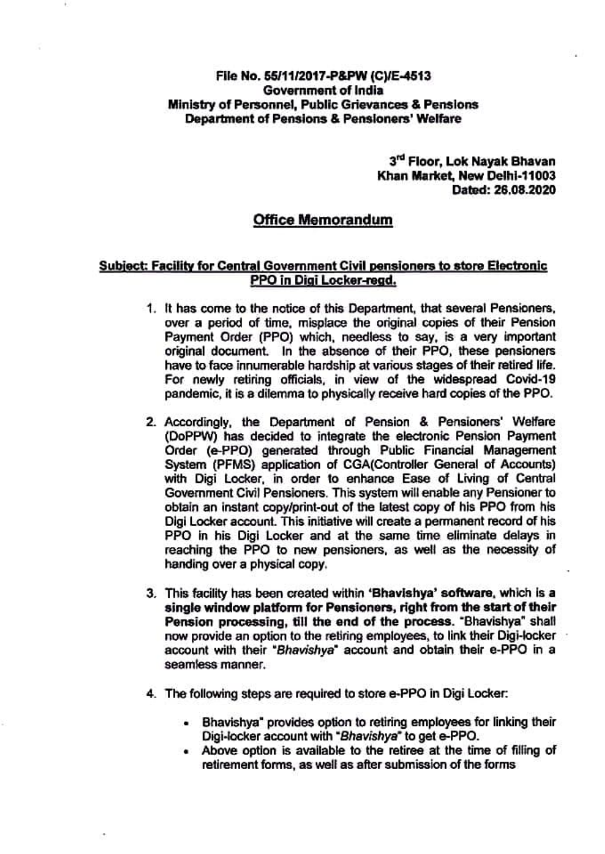## Fle No. 55/11/2017-P&PW (CVE-4513 Government of India Ministry of Personnel, Public Grievances & Pensions Department of Pensions & Pensioners' Welfare

3<sup>rd</sup> Floor, Lok Nayak Bhavan Khan Market, New Delhi-11003 Dated: 28.08.2020

## Office Memorandum

## Subiect: Facility for Central Govemment Civil pensioners to store Electronis PPO in Digi Locker-regd

- 1. It has come to the notice of this Department, that several Pensioners, over a period of time, misplace the original copies of their Pension Payment Order (PPO) which, needless to say, is a very important original document. In the absence of their PPO, these pensioners have to face innumerable hardship at various stages of their retired life. For newly retiring officials, in view of the widespread Covid-19 pandemic, it is a dilemma to physically receive hard copies of the PPO.
- 2. Accordingly, the Department of Pension & Pensioners' Welfare<br>(DoPPW) has decided to integrate the electronic Pension Payment Order (e-PPO) generated through Public Financial Management<br>System (PFMS) application of CGA(Controller General of Accounts) with Digi Locker, in order to enhance Ease of Living of Central Government Civil Pensioners. This system will enable any Pensioner to obtain an instant copy/print-out of the latest copy of his PPO from his Digi Locker account. This initiative will create a permanent record of his PPO in his Digi Locker and at the same time eliminate delays in reaching the PPO to new pensioners, as well as the necessity of handing over a physical copy.
- 3. This facility has been created within 'Bhavishya' software, which is a single window platform for Pensioners, right from the start of their<br>Pension processing, till the end of the process. "Bhavishya" shall now provide an option to the retiring employees, to link their Digi-locker account with their "Bhavishya" account and obtain their e-PPO in a seamless manner.
- 4. The following steps are required to store e-PPO in Digi Locker:
	- Bhavishya" provides option to retiring employees for linking their Digi-locker account with "Bhavishya" to get e-PPO.
	- Above option is avallable to the retiree at the time of filling of retirement forms, as well as after submission of the forms